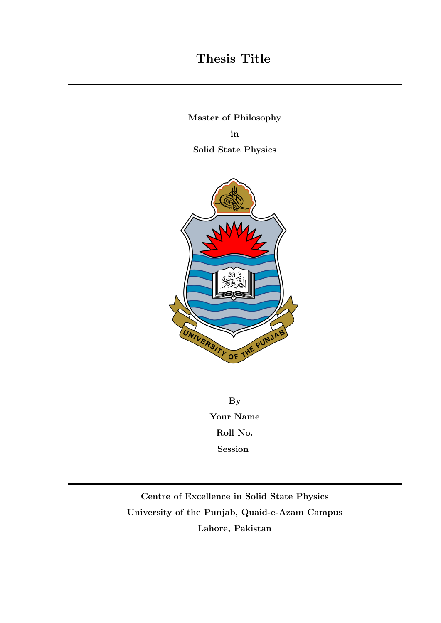### Thesis Title

Master of Philosophy in Solid State Physics



By Your Name Roll No. Session

Centre of Excellence in Solid State Physics University of the Punjab, Quaid-e-Azam Campus Lahore, Pakistan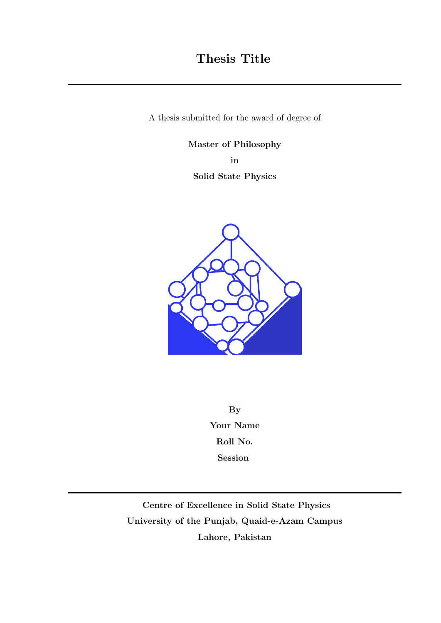A thesis submitted for the award of degree of

Master of Philosophy

in

Solid State Physics



By Your Name Roll No. Session

Centre of Excellence in Solid State Physics University of the Punjab, Quaid-e-Azam Campus Lahore, Pakistan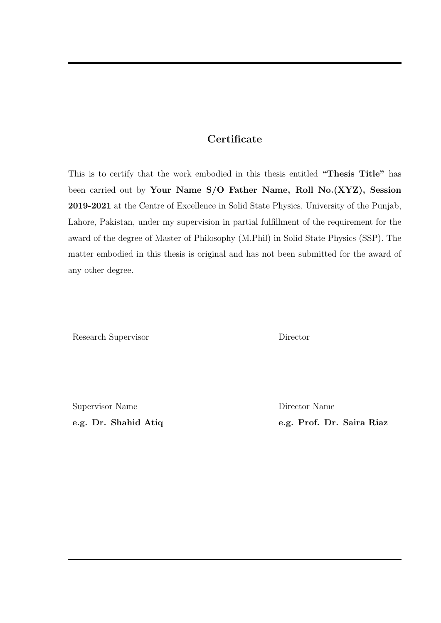#### **Certificate**

This is to certify that the work embodied in this thesis entitled "Thesis Title" has been carried out by Your Name S/O Father Name, Roll No.(XYZ), Session 2019-2021 at the Centre of Excellence in Solid State Physics, University of the Punjab, Lahore, Pakistan, under my supervision in partial fulfillment of the requirement for the award of the degree of Master of Philosophy (M.Phil) in Solid State Physics (SSP). The matter embodied in this thesis is original and has not been submitted for the award of any other degree.

Research Supervisor Director

Supervisor Name Director Name

e.g. Dr. Shahid Atiq e.g. Prof. Dr. Saira Riaz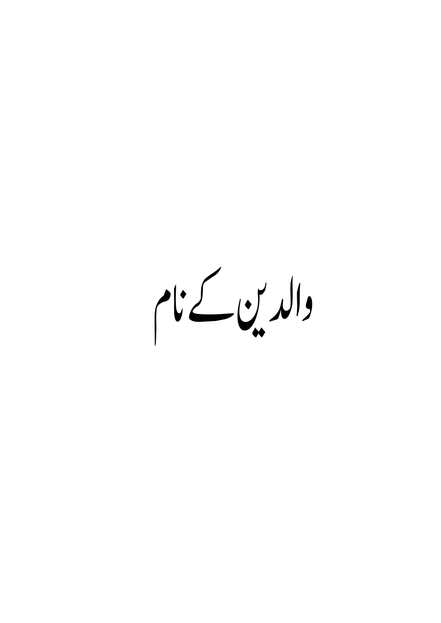والدين كے نام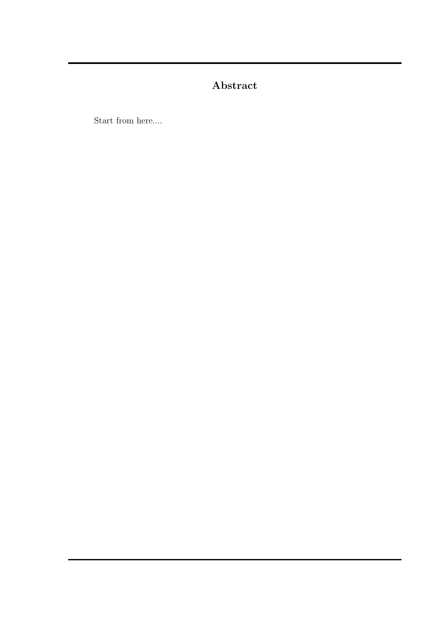### Abstract

Start from here....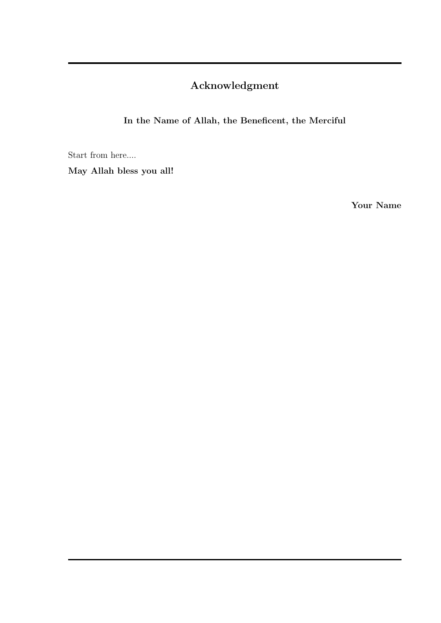### Acknowledgment

In the Name of Allah, the Beneficent, the Merciful

Start from here....

May Allah bless you all!

Your Name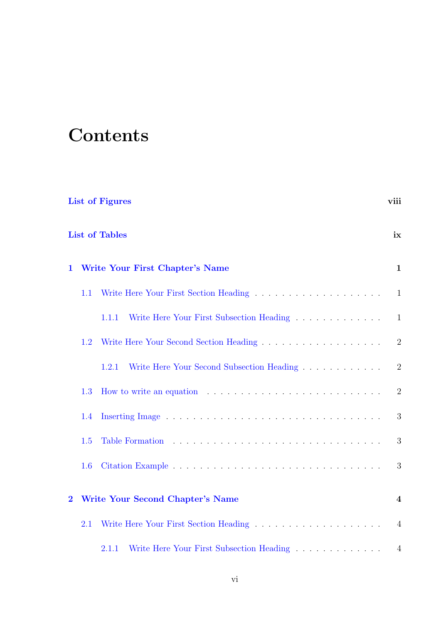# **Contents**

| <b>List of Figures</b>  |                             |                                                                             |                |  |  |  |  |  |  |  |
|-------------------------|-----------------------------|-----------------------------------------------------------------------------|----------------|--|--|--|--|--|--|--|
|                         | <b>List of Tables</b><br>ix |                                                                             |                |  |  |  |  |  |  |  |
| $\mathbf{1}$            |                             | <b>Write Your First Chapter's Name</b>                                      | $\mathbf{1}$   |  |  |  |  |  |  |  |
|                         | 1.1                         |                                                                             | $\mathbf{1}$   |  |  |  |  |  |  |  |
|                         |                             | Write Here Your First Subsection Heading<br>1.1.1                           | $\mathbf{1}$   |  |  |  |  |  |  |  |
|                         | 1.2                         |                                                                             | $\overline{2}$ |  |  |  |  |  |  |  |
|                         |                             | Write Here Your Second Subsection Heading<br>1.2.1                          | 2              |  |  |  |  |  |  |  |
|                         | 1.3                         | How to write an equation $\ldots \ldots \ldots \ldots \ldots \ldots \ldots$ | $\overline{2}$ |  |  |  |  |  |  |  |
|                         | 1.4                         |                                                                             | 3              |  |  |  |  |  |  |  |
|                         | 1.5                         |                                                                             | 3              |  |  |  |  |  |  |  |
|                         | 1.6                         |                                                                             | 3              |  |  |  |  |  |  |  |
| $\overline{\mathbf{2}}$ |                             | <b>Write Your Second Chapter's Name</b>                                     | $\overline{4}$ |  |  |  |  |  |  |  |
|                         | 2.1                         |                                                                             | $\overline{4}$ |  |  |  |  |  |  |  |
|                         |                             | Write Here Your First Subsection Heading<br>2.1.1                           | $\overline{4}$ |  |  |  |  |  |  |  |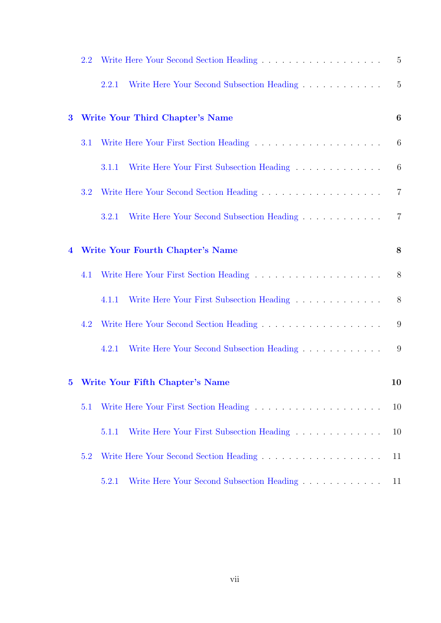|                         | 2.2 |                                                                                          | 5              |
|-------------------------|-----|------------------------------------------------------------------------------------------|----------------|
|                         |     | Write Here Your Second Subsection Heading<br>2.2.1                                       | 5              |
| $\bf{3}$                |     | <b>Write Your Third Chapter's Name</b>                                                   | 6              |
|                         | 3.1 | Write Here Your First Section Heading $\ldots \ldots \ldots \ldots \ldots \ldots \ldots$ | 6              |
|                         |     | Write Here Your First Subsection Heading<br>3.1.1                                        | 6              |
|                         | 3.2 |                                                                                          | $\overline{7}$ |
|                         |     | Write Here Your Second Subsection Heading<br>3.2.1                                       | $\overline{7}$ |
| $\overline{\mathbf{4}}$ |     | Write Your Fourth Chapter's Name                                                         | 8              |
|                         | 4.1 |                                                                                          | 8              |
|                         |     | Write Here Your First Subsection Heading<br>4.1.1                                        | 8              |
|                         | 4.2 |                                                                                          | 9              |
|                         |     | Write Here Your Second Subsection Heading<br>4.2.1                                       | 9              |
| $\bf{5}$                |     | Write Your Fifth Chapter's Name                                                          | 10             |
|                         | 5.1 |                                                                                          | 10             |
|                         |     | Write Here Your First Subsection Heading<br>5.1.1                                        | 10             |
|                         | 5.2 |                                                                                          | 11             |
|                         |     | Write Here Your Second Subsection Heading<br>5.2.1                                       | 11             |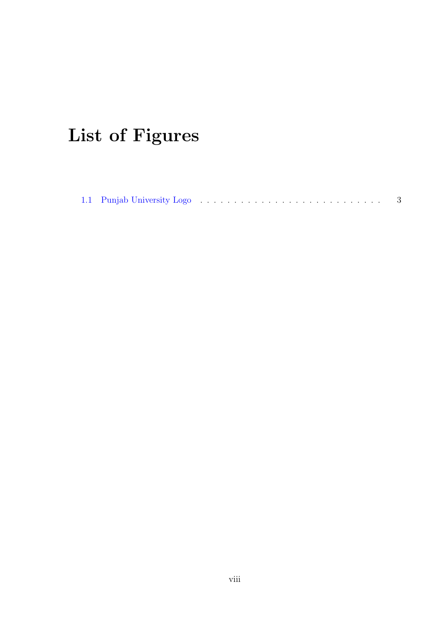# <span id="page-8-0"></span>List of Figures

|--|--|--|--|--|--|--|--|--|--|--|--|--|--|--|--|--|--|--|--|--|--|--|--|--|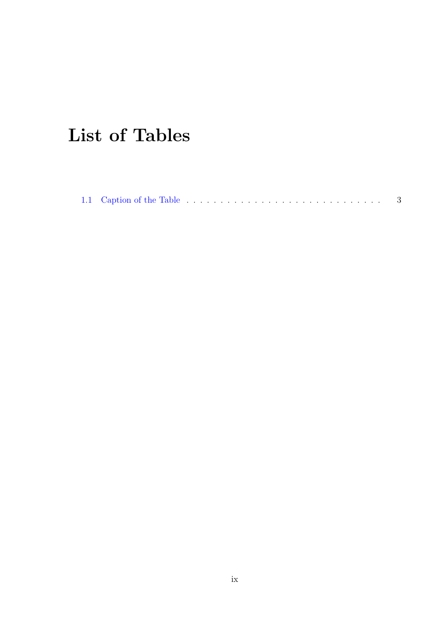# <span id="page-9-0"></span>List of Tables

|--|--|--|--|--|--|--|--|--|--|--|--|--|--|--|--|--|--|--|--|--|--|--|--|--|--|--|--|--|--|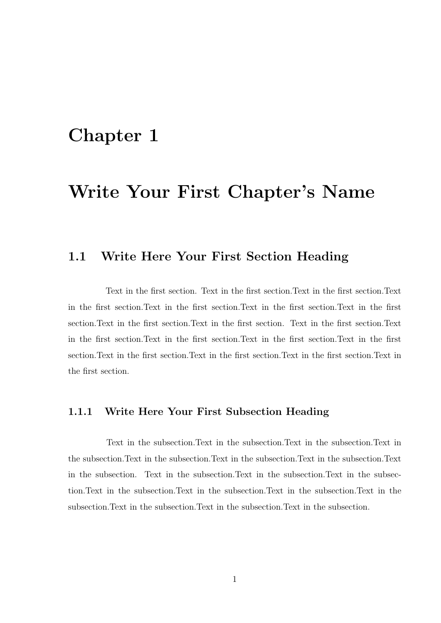# <span id="page-10-0"></span>Write Your First Chapter's Name

### <span id="page-10-1"></span>1.1 Write Here Your First Section Heading

Text in the first section. Text in the first section.Text in the first section.Text in the first section.Text in the first section.Text in the first section.Text in the first section.Text in the first section.Text in the first section. Text in the first section.Text in the first section.Text in the first section.Text in the first section.Text in the first section.Text in the first section.Text in the first section.Text in the first section.Text in the first section.

#### <span id="page-10-2"></span>1.1.1 Write Here Your First Subsection Heading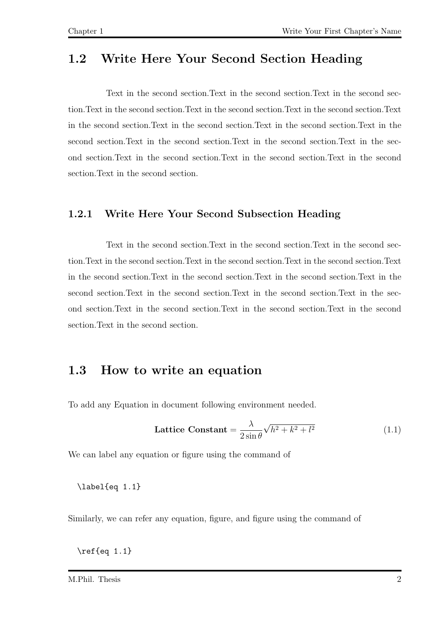<span id="page-11-0"></span>Text in the second section.Text in the second section.Text in the second section.Text in the second section.Text in the second section.Text in the second section.Text in the second section.Text in the second section.Text in the second section.Text in the second section. Text in the second section. Text in the second section. Text in the second section.Text in the second section.Text in the second section.Text in the second section.Text in the second section.

#### <span id="page-11-1"></span>1.2.1 Write Here Your Second Subsection Heading

Text in the second section.Text in the second section.Text in the second section.Text in the second section.Text in the second section.Text in the second section.Text in the second section.Text in the second section.Text in the second section.Text in the second section.Text in the second section.Text in the second section.Text in the second section.Text in the second section.Text in the second section.Text in the second section.Text in the second section.

### <span id="page-11-2"></span>1.3 How to write an equation

To add any Equation in document following environment needed.

$$
\text{Lattice Constant} = \frac{\lambda}{2\sin\theta}\sqrt{h^2 + k^2 + l^2} \tag{1.1}
$$

We can label any equation or figure using the command of

\label{eq 1.1}

Similarly, we can refer any equation, figure, and figure using the command of

\ref{eq 1.1}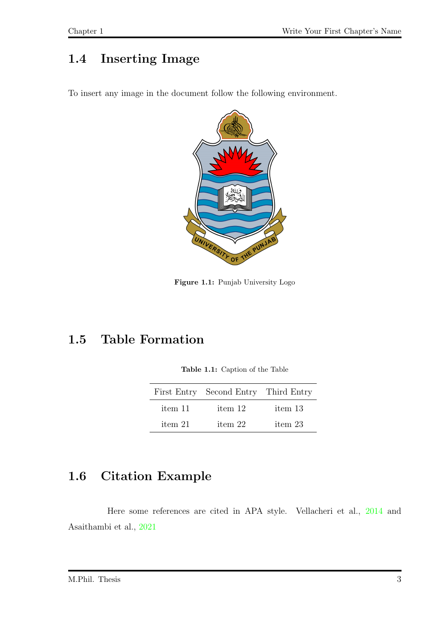### <span id="page-12-0"></span>1.4 Inserting Image

<span id="page-12-3"></span>To insert any image in the document follow the following environment.



Figure 1.1: Punjab University Logo

### <span id="page-12-4"></span><span id="page-12-1"></span>1.5 Table Formation

Table 1.1: Caption of the Table

|         | First Entry Second Entry Third Entry |         |
|---------|--------------------------------------|---------|
| item 11 | item 12                              | item 13 |
| item 21 | item 22                              | item 23 |

### <span id="page-12-2"></span>1.6 Citation Example

Here some references are cited in APA style. Vellacheri et al., [2014](#page-21-0) and Asaithambi et al., [2021](#page-21-1)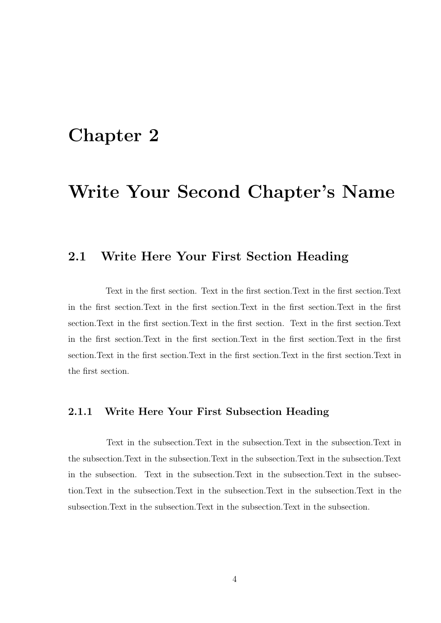# <span id="page-13-0"></span>Write Your Second Chapter's Name

### <span id="page-13-1"></span>2.1 Write Here Your First Section Heading

Text in the first section. Text in the first section.Text in the first section.Text in the first section.Text in the first section.Text in the first section.Text in the first section.Text in the first section.Text in the first section. Text in the first section.Text in the first section.Text in the first section.Text in the first section.Text in the first section.Text in the first section.Text in the first section.Text in the first section.Text in the first section.

#### <span id="page-13-2"></span>2.1.1 Write Here Your First Subsection Heading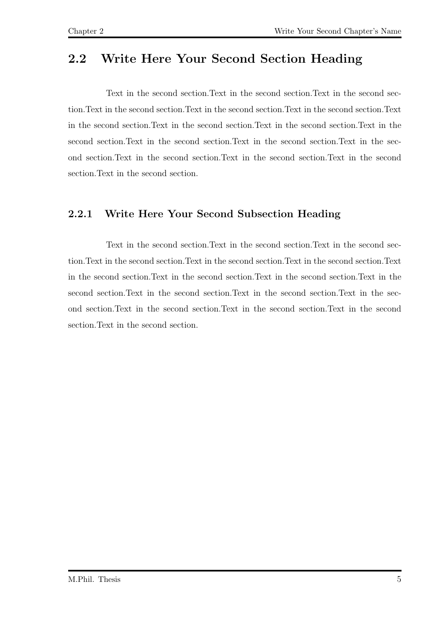<span id="page-14-0"></span>Text in the second section.Text in the second section.Text in the second section.Text in the second section.Text in the second section.Text in the second section.Text in the second section.Text in the second section.Text in the second section.Text in the second section. Text in the second section. Text in the second section. Text in the second section.Text in the second section.Text in the second section.Text in the second section.Text in the second section.

#### <span id="page-14-1"></span>2.2.1 Write Here Your Second Subsection Heading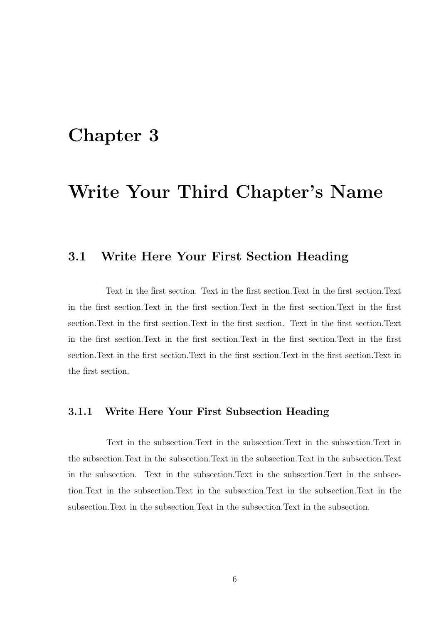# <span id="page-15-0"></span>Write Your Third Chapter's Name

#### <span id="page-15-1"></span>3.1 Write Here Your First Section Heading

Text in the first section. Text in the first section.Text in the first section.Text in the first section.Text in the first section.Text in the first section.Text in the first section.Text in the first section.Text in the first section. Text in the first section.Text in the first section.Text in the first section.Text in the first section.Text in the first section.Text in the first section.Text in the first section.Text in the first section.Text in the first section.

#### <span id="page-15-2"></span>3.1.1 Write Here Your First Subsection Heading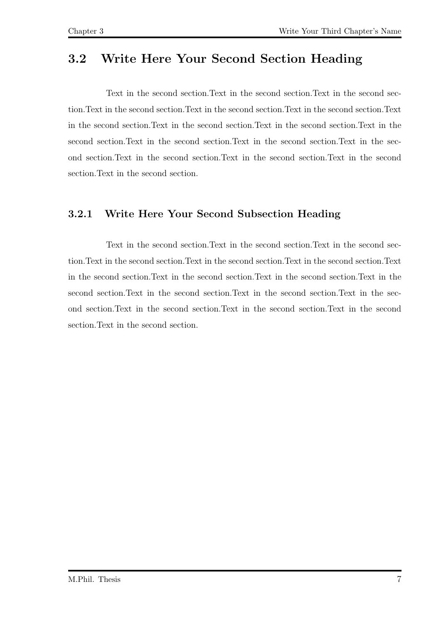<span id="page-16-0"></span>Text in the second section.Text in the second section.Text in the second section.Text in the second section.Text in the second section.Text in the second section.Text in the second section.Text in the second section.Text in the second section.Text in the second section. Text in the second section. Text in the second section. Text in the second section.Text in the second section.Text in the second section.Text in the second section.Text in the second section.

### <span id="page-16-1"></span>3.2.1 Write Here Your Second Subsection Heading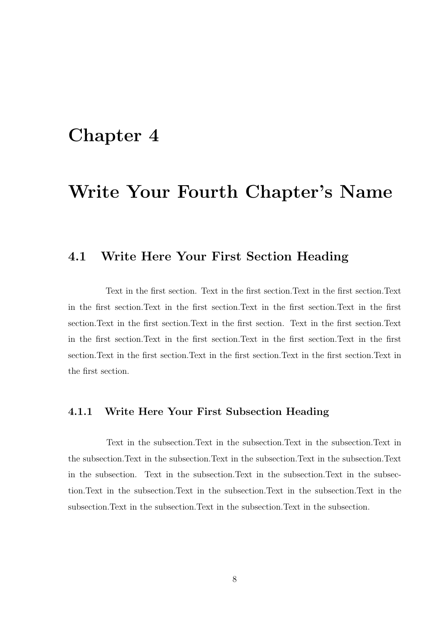# <span id="page-17-0"></span>Write Your Fourth Chapter's Name

#### <span id="page-17-1"></span>4.1 Write Here Your First Section Heading

Text in the first section. Text in the first section.Text in the first section.Text in the first section.Text in the first section.Text in the first section.Text in the first section.Text in the first section.Text in the first section. Text in the first section.Text in the first section.Text in the first section.Text in the first section.Text in the first section.Text in the first section.Text in the first section.Text in the first section.Text in the first section.

#### <span id="page-17-2"></span>4.1.1 Write Here Your First Subsection Heading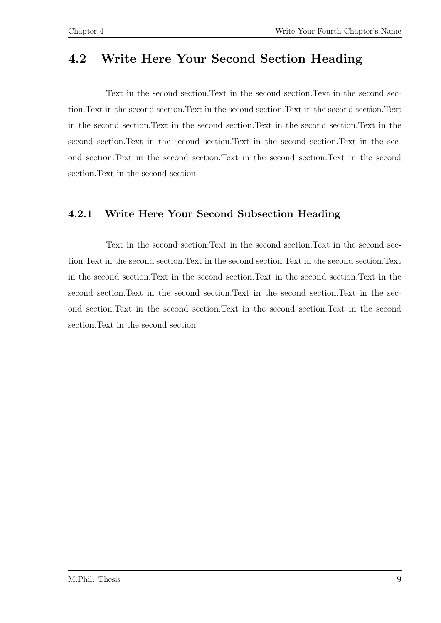<span id="page-18-0"></span>Text in the second section.Text in the second section.Text in the second section.Text in the second section.Text in the second section.Text in the second section.Text in the second section.Text in the second section.Text in the second section.Text in the second section. Text in the second section. Text in the second section. Text in the second section.Text in the second section.Text in the second section.Text in the second section.Text in the second section.

### <span id="page-18-1"></span>4.2.1 Write Here Your Second Subsection Heading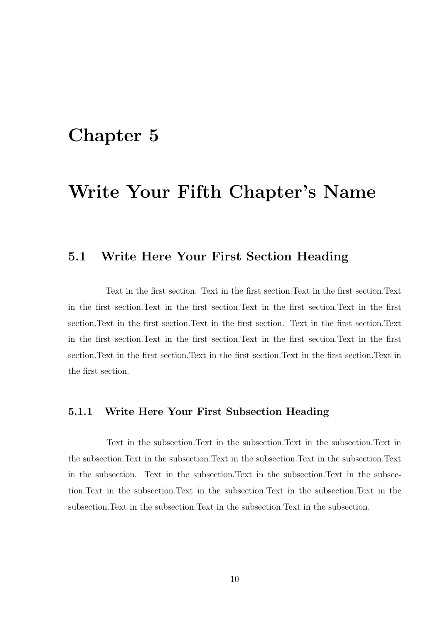# <span id="page-19-0"></span>Write Your Fifth Chapter's Name

### <span id="page-19-1"></span>5.1 Write Here Your First Section Heading

Text in the first section. Text in the first section.Text in the first section.Text in the first section.Text in the first section.Text in the first section.Text in the first section.Text in the first section.Text in the first section. Text in the first section.Text in the first section.Text in the first section.Text in the first section.Text in the first section.Text in the first section.Text in the first section.Text in the first section.Text in the first section.

#### <span id="page-19-2"></span>5.1.1 Write Here Your First Subsection Heading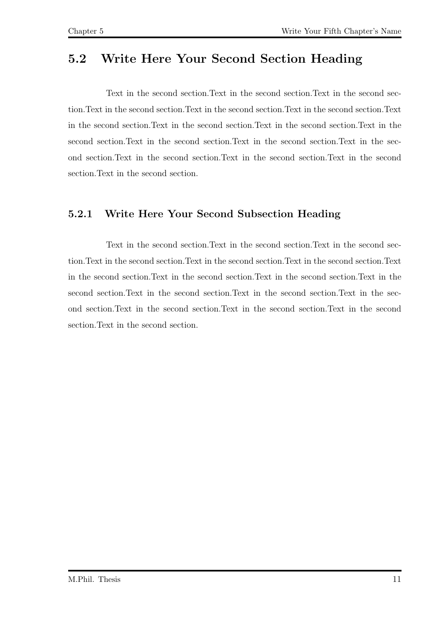<span id="page-20-0"></span>Text in the second section.Text in the second section.Text in the second section.Text in the second section.Text in the second section.Text in the second section.Text in the second section.Text in the second section.Text in the second section.Text in the second section. Text in the second section. Text in the second section. Text in the second section.Text in the second section.Text in the second section.Text in the second section.Text in the second section.

#### <span id="page-20-1"></span>5.2.1 Write Here Your Second Subsection Heading